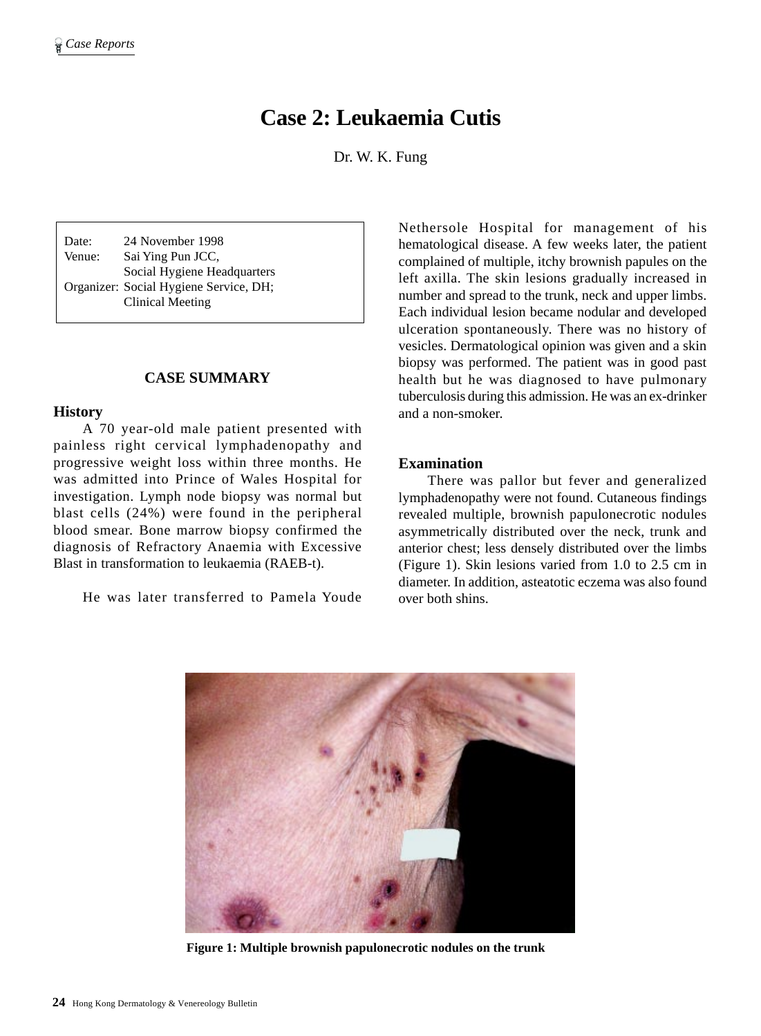# **Case 2: Leukaemia Cutis**

Dr. W. K. Fung

Date: 24 November 1998 Venue: Sai Ying Pun JCC, Social Hygiene Headquarters Organizer: Social Hygiene Service, DH; Clinical Meeting

# **CASE SUMMARY**

#### **History**

A 70 year-old male patient presented with painless right cervical lymphadenopathy and progressive weight loss within three months. He was admitted into Prince of Wales Hospital for investigation. Lymph node biopsy was normal but blast cells (24%) were found in the peripheral blood smear. Bone marrow biopsy confirmed the diagnosis of Refractory Anaemia with Excessive Blast in transformation to leukaemia (RAEB-t).

He was later transferred to Pamela Youde

Nethersole Hospital for management of his hematological disease. A few weeks later, the patient complained of multiple, itchy brownish papules on the left axilla. The skin lesions gradually increased in number and spread to the trunk, neck and upper limbs. Each individual lesion became nodular and developed ulceration spontaneously. There was no history of vesicles. Dermatological opinion was given and a skin biopsy was performed. The patient was in good past health but he was diagnosed to have pulmonary tuberculosis during this admission. He was an ex-drinker and a non-smoker.

#### **Examination**

There was pallor but fever and generalized lymphadenopathy were not found. Cutaneous findings revealed multiple, brownish papulonecrotic nodules asymmetrically distributed over the neck, trunk and anterior chest; less densely distributed over the limbs (Figure 1). Skin lesions varied from 1.0 to 2.5 cm in diameter. In addition, asteatotic eczema was also found over both shins.



**Figure 1: Multiple brownish papulonecrotic nodules on the trunk**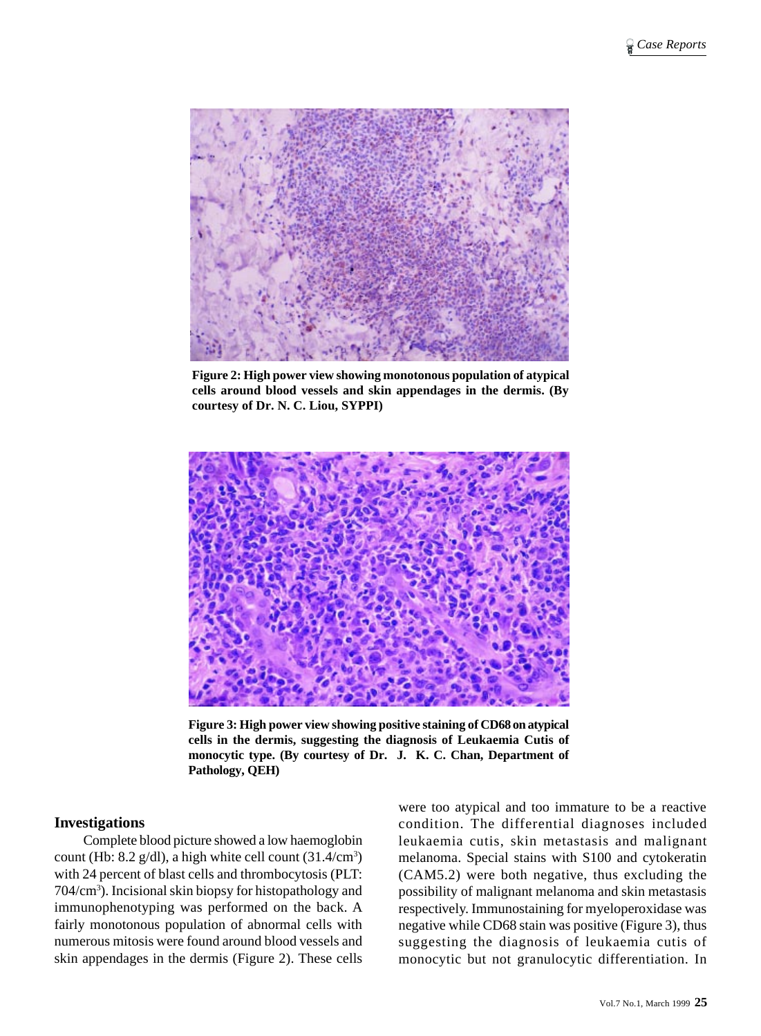

**Figure 2: High power view showing monotonous population of atypical cells around blood vessels and skin appendages in the dermis. (By courtesy of Dr. N. C. Liou, SYPPI)**



**Figure 3: High power view showing positive staining of CD68 on atypical cells in the dermis, suggesting the diagnosis of Leukaemia Cutis of monocytic type. (By courtesy of Dr. J. K. C. Chan, Department of Pathology, QEH)**

#### **Investigations**

Complete blood picture showed a low haemoglobin count (Hb:  $8.2$  g/dl), a high white cell count  $(31.4/cm<sup>3</sup>)$ with 24 percent of blast cells and thrombocytosis (PLT: 704/cm3 ). Incisional skin biopsy for histopathology and immunophenotyping was performed on the back. A fairly monotonous population of abnormal cells with numerous mitosis were found around blood vessels and skin appendages in the dermis (Figure 2). These cells

were too atypical and too immature to be a reactive condition. The differential diagnoses included leukaemia cutis, skin metastasis and malignant melanoma. Special stains with S100 and cytokeratin (CAM5.2) were both negative, thus excluding the possibility of malignant melanoma and skin metastasis respectively. Immunostaining for myeloperoxidase was negative while CD68 stain was positive (Figure 3), thus suggesting the diagnosis of leukaemia cutis of monocytic but not granulocytic differentiation. In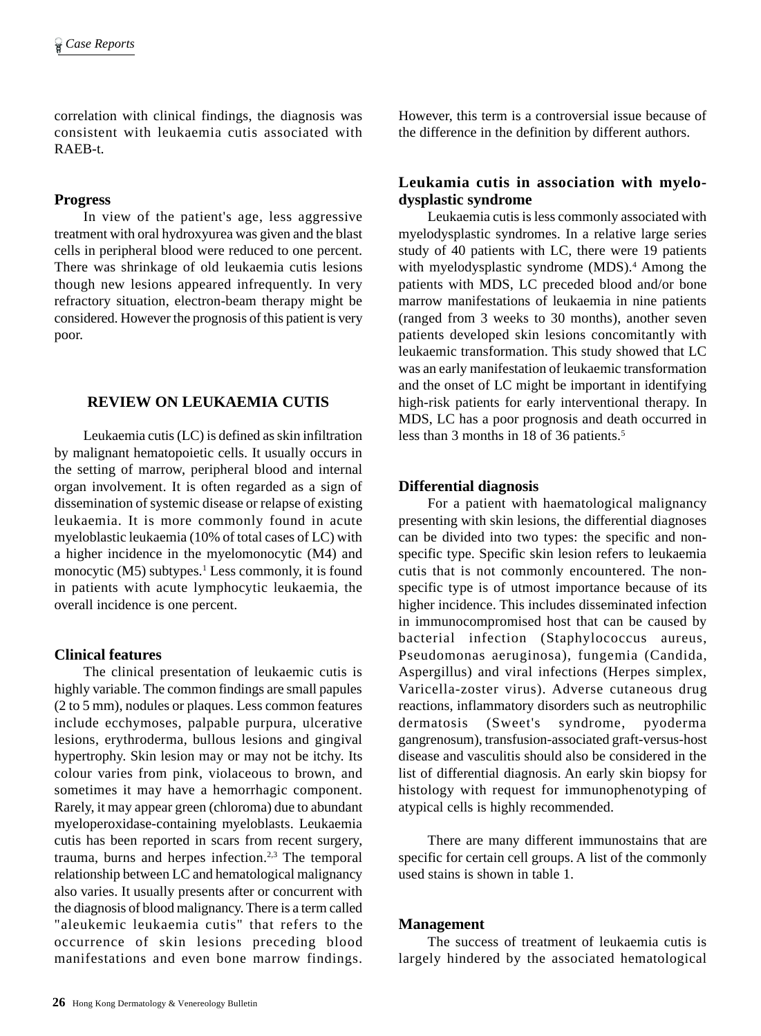correlation with clinical findings, the diagnosis was consistent with leukaemia cutis associated with RAEB-t.

#### **Progress**

In view of the patient's age, less aggressive treatment with oral hydroxyurea was given and the blast cells in peripheral blood were reduced to one percent. There was shrinkage of old leukaemia cutis lesions though new lesions appeared infrequently. In very refractory situation, electron-beam therapy might be considered. However the prognosis of this patient is very poor.

# **REVIEW ON LEUKAEMIA CUTIS**

Leukaemia cutis (LC) is defined as skin infiltration by malignant hematopoietic cells. It usually occurs in the setting of marrow, peripheral blood and internal organ involvement. It is often regarded as a sign of dissemination of systemic disease or relapse of existing leukaemia. It is more commonly found in acute myeloblastic leukaemia (10% of total cases of LC) with a higher incidence in the myelomonocytic (M4) and monocytic (M5) subtypes.<sup>1</sup> Less commonly, it is found in patients with acute lymphocytic leukaemia, the overall incidence is one percent.

# **Clinical features**

The clinical presentation of leukaemic cutis is highly variable. The common findings are small papules (2 to 5 mm), nodules or plaques. Less common features include ecchymoses, palpable purpura, ulcerative lesions, erythroderma, bullous lesions and gingival hypertrophy. Skin lesion may or may not be itchy. Its colour varies from pink, violaceous to brown, and sometimes it may have a hemorrhagic component. Rarely, it may appear green (chloroma) due to abundant myeloperoxidase-containing myeloblasts. Leukaemia cutis has been reported in scars from recent surgery, trauma, burns and herpes infection. $2,3$  The temporal relationship between LC and hematological malignancy also varies. It usually presents after or concurrent with the diagnosis of blood malignancy. There is a term called "aleukemic leukaemia cutis" that refers to the occurrence of skin lesions preceding blood manifestations and even bone marrow findings.

However, this term is a controversial issue because of the difference in the definition by different authors.

# **Leukamia cutis in association with myelodysplastic syndrome**

Leukaemia cutis is less commonly associated with myelodysplastic syndromes. In a relative large series study of 40 patients with LC, there were 19 patients with myelodysplastic syndrome (MDS).<sup>4</sup> Among the patients with MDS, LC preceded blood and/or bone marrow manifestations of leukaemia in nine patients (ranged from 3 weeks to 30 months), another seven patients developed skin lesions concomitantly with leukaemic transformation. This study showed that LC was an early manifestation of leukaemic transformation and the onset of LC might be important in identifying high-risk patients for early interventional therapy. In MDS, LC has a poor prognosis and death occurred in less than 3 months in 18 of 36 patients.<sup>5</sup>

# **Differential diagnosis**

For a patient with haematological malignancy presenting with skin lesions, the differential diagnoses can be divided into two types: the specific and nonspecific type. Specific skin lesion refers to leukaemia cutis that is not commonly encountered. The nonspecific type is of utmost importance because of its higher incidence. This includes disseminated infection in immunocompromised host that can be caused by bacterial infection (Staphylococcus aureus, Pseudomonas aeruginosa), fungemia (Candida, Aspergillus) and viral infections (Herpes simplex, Varicella-zoster virus). Adverse cutaneous drug reactions, inflammatory disorders such as neutrophilic dermatosis (Sweet's syndrome, pyoderma gangrenosum), transfusion-associated graft-versus-host disease and vasculitis should also be considered in the list of differential diagnosis. An early skin biopsy for histology with request for immunophenotyping of atypical cells is highly recommended.

There are many different immunostains that are specific for certain cell groups. A list of the commonly used stains is shown in table 1.

#### **Management**

The success of treatment of leukaemia cutis is largely hindered by the associated hematological